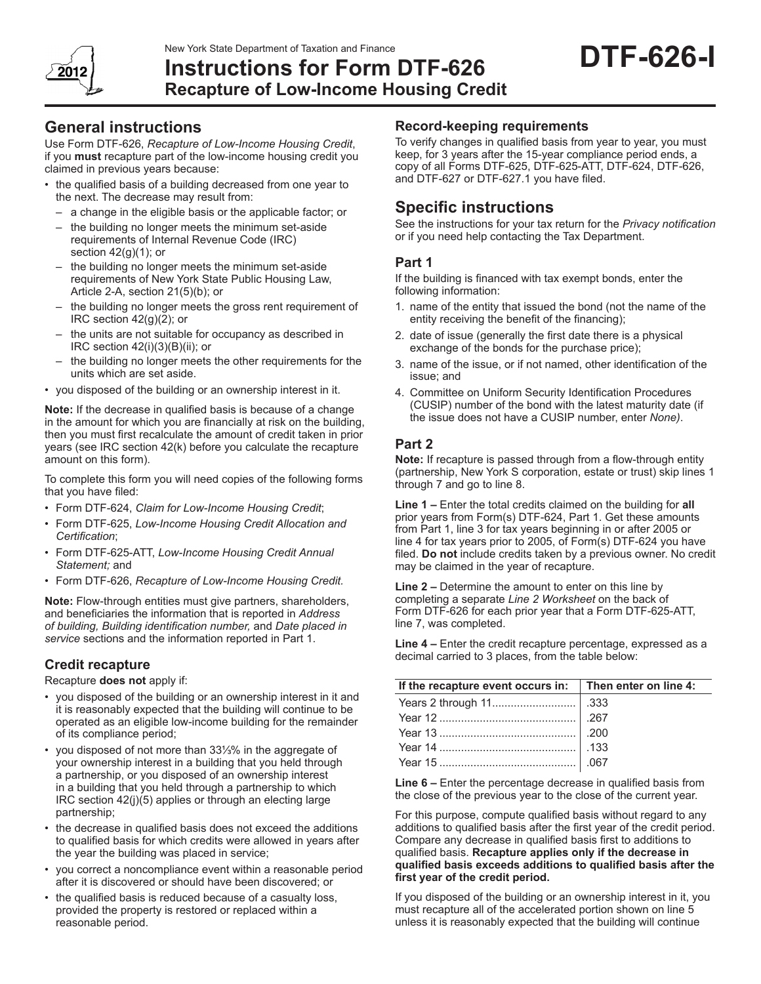New York State Department of Taxation and Finance



# **Instructions for Form DTF-626 Recapture of Low-Income Housing Credit**

# **General instructions**

Use Form DTF-626, *Recapture of Low-Income Housing Credit*, if you **must** recapture part of the low-income housing credit you claimed in previous years because:

- the qualified basis of a building decreased from one year to the next. The decrease may result from:
	- a change in the eligible basis or the applicable factor; or
	- the building no longer meets the minimum set-aside requirements of Internal Revenue Code (IRC) section  $42(g)(1)$ ; or
	- the building no longer meets the minimum set-aside requirements of New York State Public Housing Law, Article 2-A, section 21(5)(b); or
	- the building no longer meets the gross rent requirement of IRC section 42(g)(2); or
	- the units are not suitable for occupancy as described in IRC section 42(i)(3)(B)(ii); or
	- the building no longer meets the other requirements for the units which are set aside.
- • you disposed of the building or an ownership interest in it.

**Note:** If the decrease in qualified basis is because of a change in the amount for which you are financially at risk on the building, then you must first recalculate the amount of credit taken in prior years (see IRC section 42(k) before you calculate the recapture amount on this form).

To complete this form you will need copies of the following forms that you have filed:

- • Form DTF-624, *Claim for Low-Income Housing Credit*;
- Form DTF-625, Low-Income Housing Credit Allocation and *Certification*;
- • Form DTF-625-ATT, *Low-Income Housing Credit Annual Statement;* and
- • Form DTF-626, *Recapture of Low-Income Housing Credit.*

**Note:** Flow-through entities must give partners, shareholders, and beneficiaries the information that is reported in *Address of building, Building identification number,* and *Date placed in service* sections and the information reported in Part 1.

## **Credit recapture**

Recapture **does not** apply if:

- you disposed of the building or an ownership interest in it and it is reasonably expected that the building will continue to be operated as an eligible low-income building for the remainder of its compliance period;
- • you disposed of not more than 33⅓% in the aggregate of your ownership interest in a building that you held through a partnership, or you disposed of an ownership interest in a building that you held through a partnership to which IRC section 42(j)(5) applies or through an electing large partnership;
- the decrease in qualified basis does not exceed the additions to qualified basis for which credits were allowed in years after the year the building was placed in service;
- you correct a noncompliance event within a reasonable period after it is discovered or should have been discovered; or
- the qualified basis is reduced because of a casualty loss, provided the property is restored or replaced within a reasonable period.

# **Record-keeping requirements**

To verify changes in qualified basis from year to year, you must keep, for 3 years after the 15-year compliance period ends, a copy of all Forms DTF-625, DTF-625-ATT, DTF-624, DTF-626, and DTF-627 or DTF‑627.1 you have filed.

# **Specific instructions**

See the instructions for your tax return for the *Privacy notification* or if you need help contacting the Tax Department.

## **Part 1**

If the building is financed with tax exempt bonds, enter the following information:

- 1. name of the entity that issued the bond (not the name of the entity receiving the benefit of the financing);
- 2. date of issue (generally the first date there is a physical exchange of the bonds for the purchase price);
- 3. name of the issue, or if not named, other identification of the issue; and
- 4. Committee on Uniform Security Identification Procedures (CUSIP) number of the bond with the latest maturity date (if the issue does not have a CUSIP number, enter *None)*.

# **Part 2**

**Note:** If recapture is passed through from a flow-through entity (partnership, New York S corporation, estate or trust) skip lines 1 through 7 and go to line 8.

**Line 1 –** Enter the total credits claimed on the building for **all** prior years from Form(s) DTF-624, Part 1. Get these amounts from Part 1, line 3 for tax years beginning in or after 2005 or line 4 for tax years prior to 2005, of Form(s) DTF-624 you have filed. **Do not** include credits taken by a previous owner. No credit may be claimed in the year of recapture.

**Line 2 –** Determine the amount to enter on this line by completing a separate *Line 2 Worksheet* on the back of Form DTF-626 for each prior year that a Form DTF-625-ATT, line 7, was completed.

**Line 4 –** Enter the credit recapture percentage, expressed as a decimal carried to 3 places, from the table below:

| If the recapture event occurs in: $\parallel$ Then enter on line 4: |  |
|---------------------------------------------------------------------|--|
|                                                                     |  |
|                                                                     |  |
|                                                                     |  |
|                                                                     |  |
|                                                                     |  |

**Line 6 –** Enter the percentage decrease in qualified basis from the close of the previous year to the close of the current year.

For this purpose, compute qualified basis without regard to any additions to qualified basis after the first year of the credit period. Compare any decrease in qualified basis first to additions to qualified basis. **Recapture applies only if the decrease in qualified basis exceeds additions to qualified basis after the first year of the credit period.**

If you disposed of the building or an ownership interest in it, you must recapture all of the accelerated portion shown on line 5 unless it is reasonably expected that the building will continue